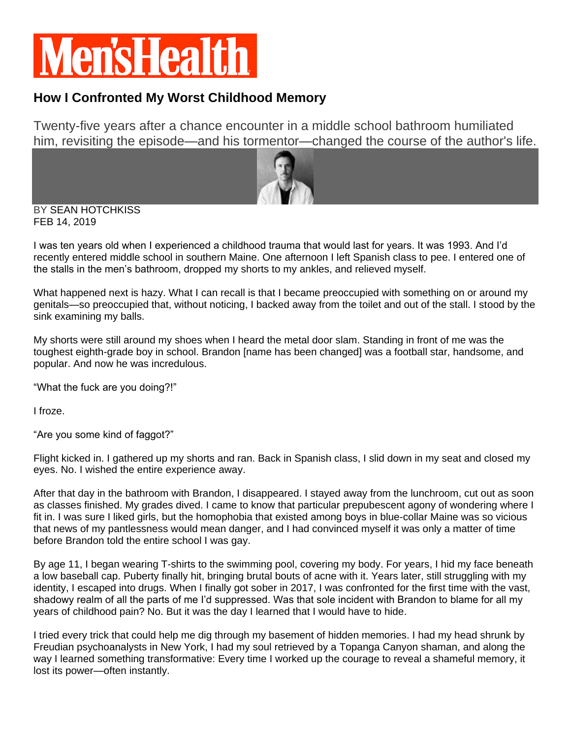## **MensHealt**

## **How I Confronted My Worst Childhood Memory**

Twenty-five years after a chance encounter in a middle school bathroom humiliated him, revisiting the episode—and his tormentor—changed the course of the author's life.



BY [SEAN HOTCHKISS](https://www.menshealth.com/author/9484/sean-hotchkiss/) FEB 14, 2019

I was ten years old when I experienced a childhood trauma that would last for years. It was 1993. And I'd recently entered middle school in southern Maine. One afternoon I left Spanish class to pee. I entered one of the stalls in the men's bathroom, dropped my shorts to my ankles, and relieved myself.

What happened next is hazy. What I can recall is that I became preoccupied with something on or around my genitals—so preoccupied that, without noticing, I backed away from the toilet and out of the stall. I stood by the sink examining my balls.

My shorts were still around my shoes when I heard the metal door slam. Standing in front of me was the toughest eighth-grade boy in school. Brandon [name has been changed] was a football star, handsome, and popular. And now he was incredulous.

"What the fuck are you doing?!"

I froze.

"Are you some kind of faggot?"

Flight kicked in. I gathered up my shorts and ran. Back in Spanish class, I slid down in my seat and closed my eyes. No. I wished the entire experience away.

After that day in the bathroom with Brandon, I disappeared. I stayed away from the lunchroom, cut out as soon as classes finished. My grades dived. I came to know that particular prepubescent agony of wondering where I fit in. I was sure I liked girls, but the homophobia that existed among boys in blue-collar Maine was so vicious that news of my pantlessness would mean danger, and I had convinced myself it was only a matter of time before Brandon told the entire school I was gay.

By age 11, I began wearing T-shirts to the swimming pool, covering my body. For years, I hid my face beneath a low baseball cap. Puberty finally hit, bringing brutal bouts of acne with it. Years later, still struggling with my identity, I escaped into drugs. When I finally got sober in 2017, I was confronted for the first time with the vast, shadowy realm of all the parts of me I'd suppressed. Was that sole incident with Brandon to blame for all my years of childhood pain? No. But it was the day I learned that I would have to hide.

I tried every trick that could help me dig through my basement of hidden memories. I had my head shrunk by Freudian psychoanalysts in New York, I had my soul retrieved by a Topanga Canyon shaman, and along the way I learned something transformative: Every time I worked up the courage to reveal a shameful memory, it lost its power—often instantly.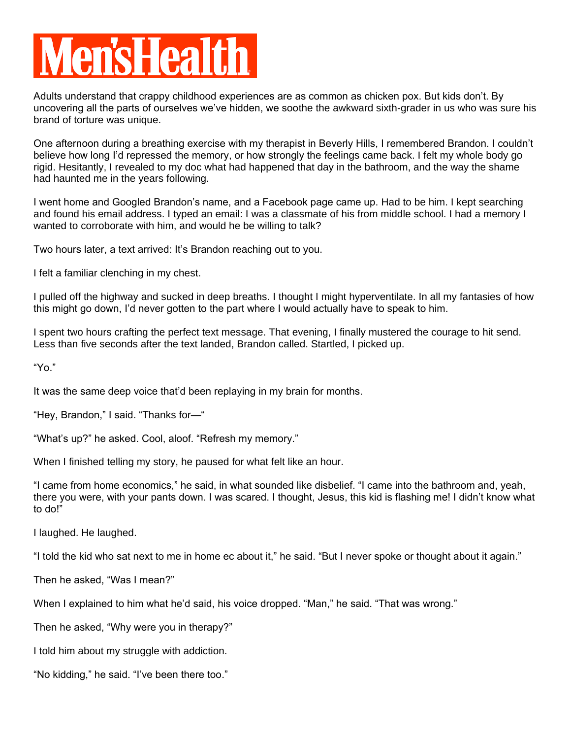## **en'sHealt**

Adults understand that crappy childhood experiences are as common as chicken pox. But kids don't. By uncovering all the parts of ourselves we've hidden, we soothe the awkward sixth-grader in us who was sure his brand of torture was unique.

One afternoon during a breathing exercise with my therapist in Beverly Hills, I remembered Brandon. I couldn't believe how long I'd repressed the memory, or how strongly the feelings came back. I felt my whole body go rigid. Hesitantly, I revealed to my doc what had happened that day in the bathroom, and the way the shame had haunted me in the years following.

I went home and Googled Brandon's name, and a Facebook page came up. Had to be him. I kept searching and found his email address. I typed an email: I was a classmate of his from middle school. I had a memory I wanted to corroborate with him, and would he be willing to talk?

Two hours later, a text arrived: It's Brandon reaching out to you.

I felt a familiar clenching in my chest.

I pulled off the highway and sucked in deep breaths. I thought I might hyperventilate. In all my fantasies of how this might go down, I'd never gotten to the part where I would actually have to speak to him.

I spent two hours crafting the perfect text message. That evening, I finally mustered the courage to hit send. Less than five seconds after the text landed, Brandon called. Startled, I picked up.

"Yo."

It was the same deep voice that'd been replaying in my brain for months.

"Hey, Brandon," I said. "Thanks for—"

"What's up?" he asked. Cool, aloof. "Refresh my memory."

When I finished telling my story, he paused for what felt like an hour.

"I came from home economics," he said, in what sounded like disbelief. "I came into the bathroom and, yeah, there you were, with your pants down. I was scared. I thought, Jesus, this kid is flashing me! I didn't know what to do!"

I laughed. He laughed.

"I told the kid who sat next to me in home ec about it," he said. "But I never spoke or thought about it again."

Then he asked, "Was I mean?"

When I explained to him what he'd said, his voice dropped. "Man," he said. "That was wrong."

Then he asked, "Why were you in therapy?"

I told him about my struggle with addiction.

"No kidding," he said. "I've been there too."